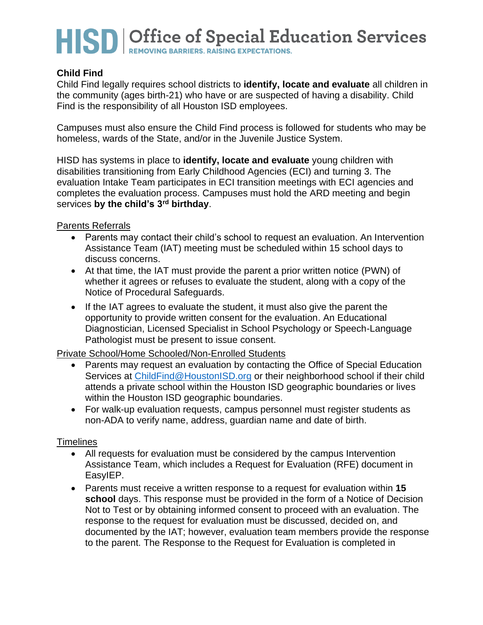# HISD | Office of Special Education Services

### **Child Find**

Child Find legally requires school districts to **identify, locate and evaluate** all children in the community (ages birth-21) who have or are suspected of having a disability. Child Find is the responsibility of all Houston ISD employees.

Campuses must also ensure the Child Find process is followed for students who may be homeless, wards of the State, and/or in the Juvenile Justice System.

HISD has systems in place to **identify, locate and evaluate** young children with disabilities transitioning from Early Childhood Agencies (ECI) and turning 3. The evaluation Intake Team participates in ECI transition meetings with ECI agencies and completes the evaluation process. Campuses must hold the ARD meeting and begin services **by the child's 3rd birthday**.

#### Parents Referrals

- Parents may contact their child's school to request an evaluation. An Intervention Assistance Team (IAT) meeting must be scheduled within 15 school days to discuss concerns.
- At that time, the IAT must provide the parent a prior written notice (PWN) of whether it agrees or refuses to evaluate the student, along with a copy of the Notice of Procedural Safeguards.
- If the IAT agrees to evaluate the student, it must also give the parent the opportunity to provide written consent for the evaluation. An Educational Diagnostician, Licensed Specialist in School Psychology or Speech-Language Pathologist must be present to issue consent.

#### Private School/Home Schooled/Non-Enrolled Students

- Parents may request an evaluation by contacting the Office of Special Education Services at [ChildFind@HoustonISD.org](mailto:ChildFind@HoustonISD.org) or their neighborhood school if their child attends a private school within the Houston ISD geographic boundaries or lives within the Houston ISD geographic boundaries.
- For walk-up evaluation requests, campus personnel must register students as non-ADA to verify name, address, guardian name and date of birth.

#### **Timelines**

- All requests for evaluation must be considered by the campus Intervention Assistance Team, which includes a Request for Evaluation (RFE) document in EasyIEP.
- Parents must receive a written response to a request for evaluation within **15 school** days. This response must be provided in the form of a Notice of Decision Not to Test or by obtaining informed consent to proceed with an evaluation. The response to the request for evaluation must be discussed, decided on, and documented by the IAT; however, evaluation team members provide the response to the parent. The Response to the Request for Evaluation is completed in